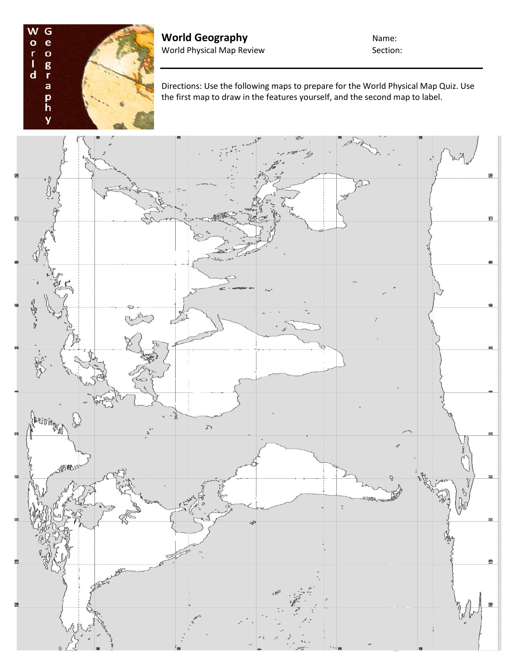

**World Geography Name:** World Physical Map Review Section:

Directions: Use the following maps to prepare for the World Physical Map Quiz. Use the first map to draw in the features yourself, and the second map to label.

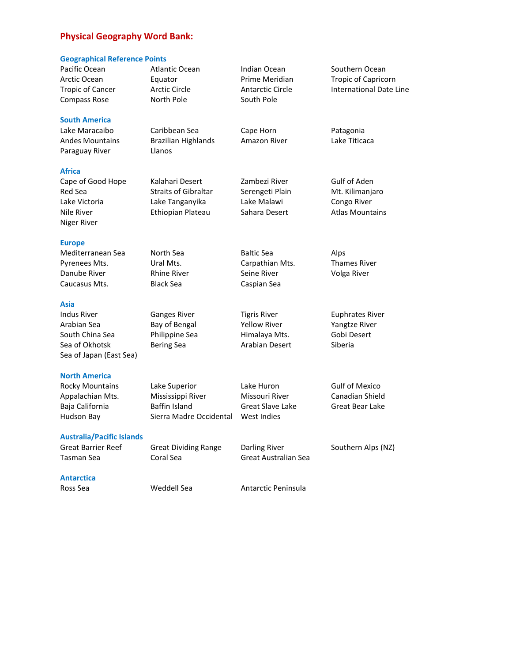## **Physical Geography Word Bank:**

## **Geographical Reference Points**

| seegrupmen nererence romas                |                                      |                                       |                                              |
|-------------------------------------------|--------------------------------------|---------------------------------------|----------------------------------------------|
| Pacific Ocean<br>Arctic Ocean             | <b>Atlantic Ocean</b><br>Equator     | Indian Ocean<br>Prime Meridian        | Southern Ocean<br><b>Tropic of Capricorn</b> |
| <b>Tropic of Cancer</b><br>Compass Rose   | <b>Arctic Circle</b><br>North Pole   | <b>Antarctic Circle</b><br>South Pole | <b>International Date Line</b>               |
| <b>South America</b>                      |                                      |                                       |                                              |
| Lake Maracaibo                            | Caribbean Sea                        | Cape Horn                             | Patagonia                                    |
| Andes Mountains<br>Paraguay River         | <b>Brazilian Highlands</b><br>Llanos | Amazon River                          | Lake Titicaca                                |
| Africa                                    |                                      |                                       |                                              |
| Cape of Good Hope                         | Kalahari Desert                      | Zambezi River                         | Gulf of Aden                                 |
| Red Sea                                   | <b>Straits of Gibraltar</b>          | Serengeti Plain                       | Mt. Kilimanjaro                              |
| Lake Victoria                             | Lake Tanganyika                      | Lake Malawi                           | Congo River                                  |
| Nile River<br>Niger River                 | Ethiopian Plateau                    | Sahara Desert                         | <b>Atlas Mountains</b>                       |
| <b>Europe</b>                             |                                      |                                       |                                              |
| Mediterranean Sea                         | North Sea                            | <b>Baltic Sea</b>                     | Alps                                         |
| Pyrenees Mts.                             | Ural Mts.                            | Carpathian Mts.                       | <b>Thames River</b>                          |
| Danube River                              | <b>Rhine River</b>                   | Seine River                           | Volga River                                  |
| Caucasus Mts.                             | <b>Black Sea</b>                     | Caspian Sea                           |                                              |
| Asia                                      |                                      |                                       |                                              |
| Indus River                               | <b>Ganges River</b>                  | <b>Tigris River</b>                   | <b>Euphrates River</b>                       |
| Arabian Sea                               | Bay of Bengal                        | <b>Yellow River</b>                   | Yangtze River                                |
| South China Sea                           | Philippine Sea                       | Himalaya Mts.                         | Gobi Desert                                  |
| Sea of Okhotsk<br>Sea of Japan (East Sea) | <b>Bering Sea</b>                    | Arabian Desert                        | Siberia                                      |
| <b>North America</b>                      |                                      |                                       |                                              |
| <b>Rocky Mountains</b>                    | Lake Superior                        | Lake Huron                            | <b>Gulf of Mexico</b>                        |
| Appalachian Mts.                          | Mississippi River                    | Missouri River                        | Canadian Shield                              |
| Baja California                           | Baffin Island                        | <b>Great Slave Lake</b>               | Great Bear Lake                              |
| Hudson Bay                                | Sierra Madre Occidental              | West Indies                           |                                              |
| <b>Australia/Pacific Islands</b>          |                                      |                                       |                                              |
| <b>Great Barrier Reef</b>                 | <b>Great Dividing Range</b>          | <b>Darling River</b>                  | Southern Alps (NZ)                           |
| Tasman Sea                                | Coral Sea                            | Great Australian Sea                  |                                              |
| Antarctica                                |                                      |                                       |                                              |
| Ross Sea                                  | Weddell Sea                          | Antarctic Peninsula                   |                                              |